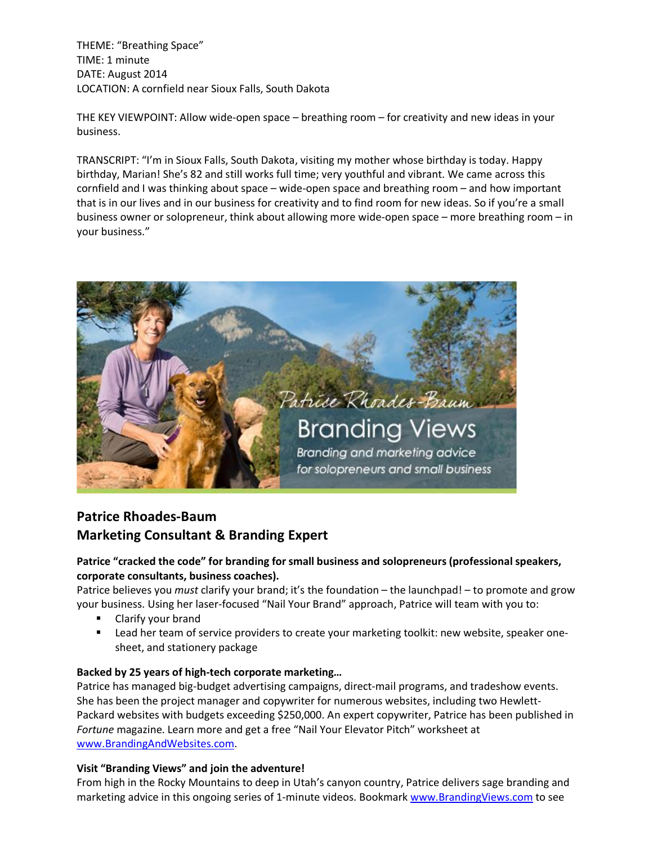THEME: "Breathing Space" TIME: 1 minute DATE: August 2014 LOCATION: A cornfield near Sioux Falls, South Dakota

THE KEY VIEWPOINT: Allow wide-open space – breathing room – for creativity and new ideas in your business.

TRANSCRIPT: "I'm in Sioux Falls, South Dakota, visiting my mother whose birthday is today. Happy birthday, Marian! She's 82 and still works full time; very youthful and vibrant. We came across this cornfield and I was thinking about space – wide-open space and breathing room – and how important that is in our lives and in our business for creativity and to find room for new ideas. So if you're a small business owner or solopreneur, think about allowing more wide-open space – more breathing room – in your business."



## **Patrice Rhoades-Baum Marketing Consultant & Branding Expert**

## **Patrice "cracked the code" for branding for small business and solopreneurs (professional speakers, corporate consultants, business coaches).**

Patrice believes you *must* clarify your brand; it's the foundation – the launchpad! – to promote and grow your business. Using her laser-focused "Nail Your Brand" approach, Patrice will team with you to:

- **E** Clarify your brand
- **Example 2** Lead her team of service providers to create your marketing toolkit: new website, speaker onesheet, and stationery package

## **Backed by 25 years of high-tech corporate marketing…**

Patrice has managed big-budget advertising campaigns, direct-mail programs, and tradeshow events. She has been the project manager and copywriter for numerous websites, including two Hewlett-Packard websites with budgets exceeding \$250,000. An expert copywriter, Patrice has been published in *Fortune* magazine. Learn more and get a free "Nail Your Elevator Pitch" worksheet at www.BrandingAndWebsites.com.

## **Visit "Branding Views" and join the adventure!**

From high in the Rocky Mountains to deep in Utah's canyon country, Patrice delivers sage branding and marketing advice in this ongoing series of 1-minute videos. Bookmark www.BrandingViews.com to see